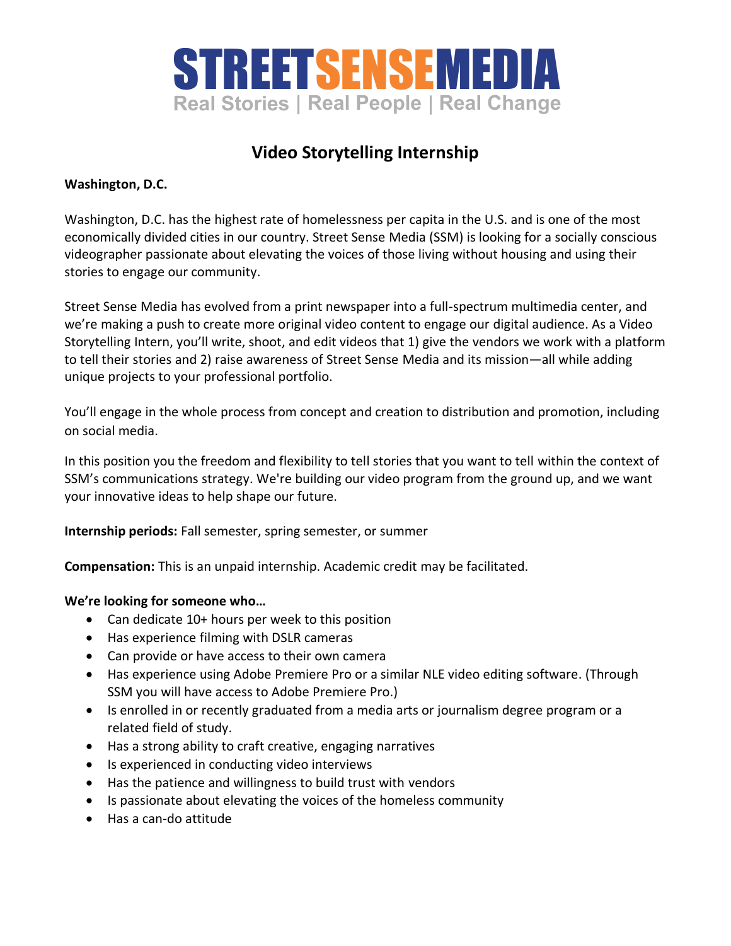

## **Video Storytelling Internship**

## **Washington, D.C.**

Washington, D.C. has the highest rate of homelessness per capita in the U.S. and is one of the most economically divided cities in our country. Street Sense Media (SSM) is looking for a socially conscious videographer passionate about elevating the voices of those living without housing and using their stories to engage our community.

Street Sense Media has evolved from a print newspaper into a full-spectrum multimedia center, and we're making a push to create more original video content to engage our digital audience. As a Video Storytelling Intern, you'll write, shoot, and edit videos that 1) give the vendors we work with a platform to tell their stories and 2) raise awareness of Street Sense Media and its mission—all while adding unique projects to your professional portfolio.

You'll engage in the whole process from concept and creation to distribution and promotion, including on social media.

In this position you the freedom and flexibility to tell stories that you want to tell within the context of SSM's communications strategy. We're building our video program from the ground up, and we want your innovative ideas to help shape our future.

**Internship periods:** Fall semester, spring semester, or summer

**Compensation:** This is an unpaid internship. Academic credit may be facilitated.

## **We're looking for someone who…**

- Can dedicate 10+ hours per week to this position
- Has experience filming with DSLR cameras
- Can provide or have access to their own camera
- Has experience using Adobe Premiere Pro or a similar NLE video editing software. (Through SSM you will have access to Adobe Premiere Pro.)
- Is enrolled in or recently graduated from a media arts or journalism degree program or a related field of study.
- Has a strong ability to craft creative, engaging narratives
- Is experienced in conducting video interviews
- Has the patience and willingness to build trust with vendors
- Is passionate about elevating the voices of the homeless community
- Has a can-do attitude